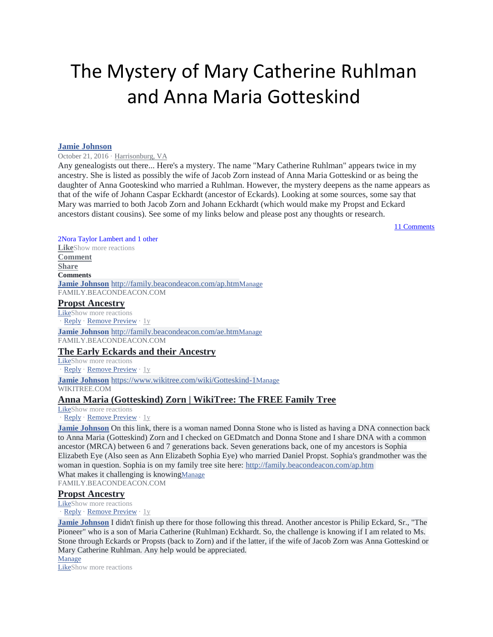# The Mystery of Mary Catherine Ruhlman and Anna Maria Gotteskin[d](https://www.facebook.com/beacon.deacon?fref=gs&dti=69653436109&hc_location=group)

#### **[Jamie Johnson](https://www.facebook.com/beacon.deacon?fref=gs&hc_ref=ARQujBj4RtIDtvKkhO6y25YAWcpm7Lm3XLDX73PikqmQ9mYuPIQXTz2JMHgxCSQIEF8&dti=69653436109&hc_location=group)**

[October 21, 2016](https://www.facebook.com/groups/69653436109/permalink/10155444176196110/) · [Harrisonburg, VA](https://www.facebook.com/pages/Harrisonburg-Virginia/109483139069465?hc_location=group)

Any genealogists out there... Here's a mystery. The name "Mary Catherine Ruhlman" appears twice in my ancestry. She is listed as possibly the wife of Jacob Zorn instead of Anna Maria Gotteskind or as being the daughter of Anna Gooteskind who married a Ruhlman. However, the mystery deepens as the name appears as that of the wife of Johann Caspar Eckhardt (ancestor of Eckards). Looking at some sources, some say that Mary was married to both Jacob Zorn and Johann Eckhardt (which would make my Propst and Eckard ancestors distant cousins). See some of my links below and please post any thoughts or research.

[11 Comments](https://www.facebook.com/groups/69653436109/permalink/10155444176196110/?comment_tracking=%7B%22tn%22%3A%22O%22%7D)

### [2Nora Taylor Lambert and 1 other](https://www.facebook.com/ufi/reaction/profile/browser/?ft_ent_identifier=10155444176196110&av=1060493326)

**[Like](https://www.facebook.com/groups/69653436109/permalink/10155444176196110/)**Show more reactions **[Comment](https://www.facebook.com/groups/69653436109/permalink/10155444176196110/) [Share](https://www.facebook.com/groups/69653436109/permalink/10155444176196110/) Comments [Jamie Johnson](https://www.facebook.com/beacon.deacon?fref=gc&dti=69653436109)** <http://family.beacondeacon.com/ap.htm>[Manage](http://family.beacondeacon.com/ap.htm) FAMILY.BEACONDEACON.COM

#### **[Propst Ancestry](https://l.facebook.com/l.php?u=http%3A%2F%2Ffamily.beacondeacon.com%2Fap.htm&h=AT0DJDLNIzzojZ2FviBuljGzss1YNyk7uMN2hDoao61Rjy_jn0WHvZZRGNwAN7RcehZboZPz5CasMuWWn-t37hNdc44nLqOxI9-435Qn-N9IbpmcjR9wW-Slf3ePjqks7Ir-)**

[LikeS](https://www.facebook.com/groups/69653436109/permalink/10155444176196110/)how more reactions · [Reply](https://www.facebook.com/groups/69653436109/permalink/10155444176196110/) · [Remove Preview](https://www.facebook.com/groups/69653436109/permalink/10155444176196110/) · [1y](https://www.facebook.com/groups/69653436109/permalink/10155444176196110/?comment_id=10155444176856110&comment_tracking=%7B%22tn%22%3A%22R7%22%7D)

**[Jamie Johnson](https://www.facebook.com/beacon.deacon?fref=gc&dti=69653436109)** <http://family.beacondeacon.com/ae.htm>[Manage](http://family.beacondeacon.com/ae.htm)

FAMILY.BEACONDEACON.COM

### **[The Early Eckards and their Ancestry](https://l.facebook.com/l.php?u=http%3A%2F%2Ffamily.beacondeacon.com%2Fae.htm&h=AT1W0YcEONfgrSdKtobvdC2IZc3AVjJ2rOYoZWodAbkoL9RB6VV1N9PJGQkb3kJD7lqFsrYgIA2TdgewBB0wZH57G8w2EVNp8pxiSGJAg1lzkQ9UsjtD7TvDLa1o-3W1K1c1)**

[LikeS](https://www.facebook.com/groups/69653436109/permalink/10155444176196110/)how more reactions [Reply](https://www.facebook.com/groups/69653436109/permalink/10155444176196110/) · [Remove Preview](https://www.facebook.com/groups/69653436109/permalink/10155444176196110/) · [1y](https://www.facebook.com/groups/69653436109/permalink/10155444176196110/?comment_id=10155444177116110&comment_tracking=%7B%22tn%22%3A%22R6%22%7D)

**[Jamie Johnson](https://www.facebook.com/beacon.deacon?fref=gc&dti=69653436109)** <https://www.wikitree.com/wiki/Gotteskind-1>[Manage](https://www.wikitree.com/wiki/Gotteskind-1) WIKITREE.COM

# **[Anna Maria \(Gotteskind\) Zorn | WikiTree: The FREE Family Tree](https://l.facebook.com/l.php?u=https%3A%2F%2Fwww.wikitree.com%2Fwiki%2FGotteskind-1&h=AT2RCROcCq18E7fOtejUhIdku7w8kgl7_M-rYYb4grFSbw7EnG5JXIP7CJyW1jyA4UA53NYubkJYLI4KPSxGpurHJc5rXW8iszVMfZAHWDBYVfdqoia6mwaCFqQXXsRHAUSr)**

[LikeS](https://www.facebook.com/groups/69653436109/permalink/10155444176196110/)how more reactions

[Reply](https://www.facebook.com/groups/69653436109/permalink/10155444176196110/) · [Remove Preview](https://www.facebook.com/groups/69653436109/permalink/10155444176196110/) · [1y](https://www.facebook.com/groups/69653436109/permalink/10155444176196110/?comment_id=10155444179011110&comment_tracking=%7B%22tn%22%3A%22R5%22%7D)

**[Jamie Johnson](https://www.facebook.com/beacon.deacon?fref=gc&dti=69653436109)** On this link, there is a woman named Donna Stone who is listed as having a DNA connection back to Anna Maria (Gotteskind) Zorn and I checked on GEDmatch and Donna Stone and I share DNA with a common ancestor (MRCA) between 6 and 7 generations back. Seven generations back, one of my ancestors is Sophia Elizabeth Eye (Also seen as Ann Elizabeth Sophia Eye) who married Daniel Propst. Sophia's grandmother was the woman in question. Sophia is on my family tree site here: <http://family.beacondeacon.com/ap.htm> What makes it challenging is knowing[Manage](https://www.facebook.com/groups/69653436109/permalink/10155444176196110/)

FAMILY.BEACONDEACON.COM

# **[Propst Ancestry](https://l.facebook.com/l.php?u=http%3A%2F%2Ffamily.beacondeacon.com%2Fap.htm&h=AT3YhPodI5M2knktgRVmZrBassCUqpHmqUBrdFaSyvZ_Amnyt13cbNpYbG4No3bMngfsy-EPR9Zf7Rlc38kcfHM0dPgjhU0OFQ-5VAzBuSAhCMNz_ckgNQRMKj8UgfFwo7DR)**

[LikeS](https://www.facebook.com/groups/69653436109/permalink/10155444176196110/)how more reactions

[Reply](https://www.facebook.com/groups/69653436109/permalink/10155444176196110/) · [Remove Preview](https://www.facebook.com/groups/69653436109/permalink/10155444176196110/) · [1y](https://www.facebook.com/groups/69653436109/permalink/10155444176196110/?comment_id=10155444179011110&reply_comment_id=10155444193021110&comment_tracking=%7B%22tn%22%3A%22R7%22%7D)

**[Jamie Johnson](https://www.facebook.com/beacon.deacon?fref=gc&dti=69653436109)** I didn't finish up there for those following this thread. Another ancestor is Philip Eckard, Sr., "The Pioneer" who is a son of Maria Catherine (Ruhlman) Eckhardt. So, the challenge is knowing if I am related to Ms. Stone through Eckards or Propsts (back to Zorn) and if the latter, if the wife of Jacob Zorn was Anna Gotteskind or Mary Catherine Ruhlman. Any help would be appreciated.

[Manage](https://www.facebook.com/groups/69653436109/permalink/10155444176196110/) [LikeS](https://www.facebook.com/groups/69653436109/permalink/10155444176196110/)how more reactions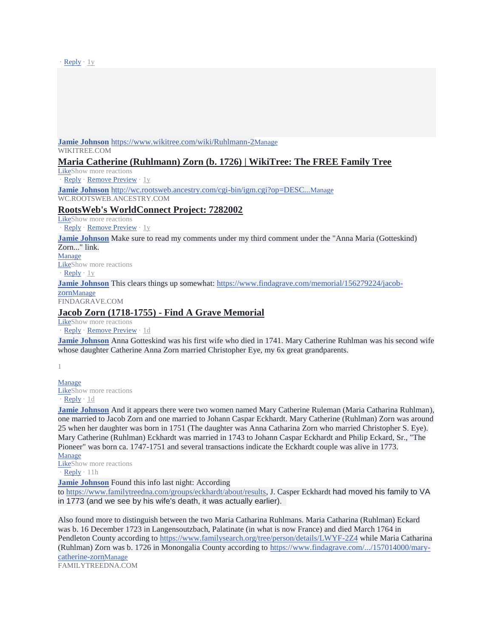$Reply \cdot 1y$  $Reply \cdot 1y$  $Reply \cdot 1y$ 

**[Jamie Johnson](https://www.facebook.com/beacon.deacon?fref=gc&dti=69653436109)** <https://www.wikitree.com/wiki/Ruhlmann-2>[Manage](https://www.wikitree.com/wiki/Ruhlmann-2)

WIKITREE.COM

### **[Maria Catherine \(Ruhlmann\) Zorn \(b. 1726\) | WikiTree: The FREE Family Tree](https://l.facebook.com/l.php?u=https%3A%2F%2Fwww.wikitree.com%2Fwiki%2FRuhlmann-2&h=AT2tkRVqD0EA3AH64zAQypCCb6jdK3QFdhbJ-j32jIHGaE6MWUqTmc_uha8MgnDoIT-8k013MvL7_Gt9orc5d_quUnatBt0xG9scO-Csi25PxuZoTq4AmkWoeLL3fYfNaZRH)**

[LikeS](https://www.facebook.com/groups/69653436109/permalink/10155444176196110/)how more reactions

[Reply](https://www.facebook.com/groups/69653436109/permalink/10155444176196110/) · [Remove Preview](https://www.facebook.com/groups/69653436109/permalink/10155444176196110/) · [1y](https://www.facebook.com/groups/69653436109/permalink/10155444176196110/?comment_id=10155444179406110&comment_tracking=%7B%22tn%22%3A%22R4%22%7D)

**[Jamie Johnson](https://www.facebook.com/beacon.deacon?fref=gc&dti=69653436109)** [http://wc.rootsweb.ancestry.com/cgi-bin/igm.cgi?op=DESC...](http://wc.rootsweb.ancestry.com/cgi-bin/igm.cgi?op=DESC&db=%3A2182508&id=I138)[Manage](http://wc.rootsweb.ancestry.com/cgi-bin/igm.cgi?op=DESC&db=%3A2182508&id=I138) WC.ROOTSWEB.ANCESTRY.COM

## **[RootsWeb's WorldConnect Project: 7282002](https://l.facebook.com/l.php?u=http%3A%2F%2Fwc.rootsweb.ancestry.com%2Fcgi-bin%2Figm.cgi%3Fop%3DDESC%26db%3D%253A2182508%26id%3DI138&h=AT2kI78i6ScgV0TZdzhFC2Ua1uw6Fbn1Ij4NVOYF9SkFtkktYAxjhXGF5ysDJHiUGrqZHv2DMDwjNZpjV_omtJdHe3YchnCmk_Q5aOt2Fu_c0WCv0i7QJXjb6sAe2UyFiDU1)**

[LikeS](https://www.facebook.com/groups/69653436109/permalink/10155444176196110/)how more reactions

[Reply](https://www.facebook.com/groups/69653436109/permalink/10155444176196110/) · [Remove Preview](https://www.facebook.com/groups/69653436109/permalink/10155444176196110/) · [1y](https://www.facebook.com/groups/69653436109/permalink/10155444176196110/?comment_id=10155444180236110&comment_tracking=%7B%22tn%22%3A%22R3%22%7D)

**[Jamie Johnson](https://www.facebook.com/beacon.deacon?fref=gc&dti=69653436109)** Make sure to read my comments under my third comment under the "Anna Maria (Gotteskind) Zorn..." link.

[Manage](https://www.facebook.com/groups/69653436109/permalink/10155444176196110/)

[LikeS](https://www.facebook.com/groups/69653436109/permalink/10155444176196110/)how more reactions

 $\text{Reply} \cdot 1$  $\text{Reply} \cdot 1$  $\text{Reply} \cdot 1$ 

**[Jamie Johnson](https://www.facebook.com/beacon.deacon?fref=gc&dti=69653436109)** This clears things up somewhat: [https://www.findagrave.com/memorial/156279224/jacob-](https://www.findagrave.com/memorial/156279224/jacob-zorn)

[zorn](https://www.findagrave.com/memorial/156279224/jacob-zorn)[Manage](https://www.facebook.com/groups/69653436109/permalink/10155444176196110/)

FINDAGRAVE.COM

## **[Jacob Zorn \(1718-1755\) -](https://l.facebook.com/l.php?u=https%3A%2F%2Fwww.findagrave.com%2Fmemorial%2F156279224%2Fjacob-zorn&h=AT3_7UgtT2CTNTaQDTV1j9OvziFq6E76TPqALHQLB9bQKc4DTAWR6nNNNGceD3zeLo68WkPjPZUEwXYn_5RtJaFYjPGz-eYma2YdMsxgolr2Wohtr3MDxIe8tfXou4X5mU8V) Find A Grave Memorial**

[LikeS](https://www.facebook.com/groups/69653436109/permalink/10155444176196110/)how more reactions [Reply](https://www.facebook.com/groups/69653436109/permalink/10155444176196110/) · [Remove Preview](https://www.facebook.com/groups/69653436109/permalink/10155444176196110/) · [1d](https://www.facebook.com/groups/69653436109/permalink/10155444176196110/?comment_id=10157702033231110&comment_tracking=%7B%22tn%22%3A%22R1%22%7D)

**[Jamie Johnson](https://www.facebook.com/beacon.deacon?fref=gc&dti=69653436109)** Anna Gotteskind was his first wife who died in 1741. Mary Catherine Ruhlman was his second wife whose daughter Catherine Anna Zorn married Christopher Eye, my 6x great grandparents.

[1](https://www.facebook.com/ufi/reaction/profile/browser/?ft_ent_identifier=10155444176196110_10157702035296110&av=1060493326)

[Manage](https://www.facebook.com/groups/69653436109/permalink/10155444176196110/) [LikeS](https://www.facebook.com/groups/69653436109/permalink/10155444176196110/)how more reactions  $\cdot$  [Reply](https://www.facebook.com/groups/69653436109/permalink/10155444176196110/)  $\cdot$  [1d](https://www.facebook.com/groups/69653436109/permalink/10155444176196110/?comment_id=10157702035296110&comment_tracking=%7B%22tn%22%3A%22R0%22%7D)

**[Jamie Johnson](https://www.facebook.com/beacon.deacon?fref=gc&dti=69653436109)** And it appears there were two women named Mary Catherine Ruleman (Maria Catharina Ruhlman), one married to Jacob Zorn and one married to Johann Caspar Eckhardt. Mary Catherine (Ruhlman) Zorn was around 25 when her daughter was born in 1751 (The daughter was Anna Catharina Zorn who married Christopher S. Eye). Mary Catherine (Ruhlman) Eckhardt was married in 1743 to Johann Caspar Eckhardt and Philip Eckard, Sr., "The Pioneer" was born ca. 1747-1751 and several transactions indicate the Eckhardt couple was alive in 1773. [Manage](https://www.facebook.com/groups/69653436109/permalink/10155444176196110/)

[LikeS](https://www.facebook.com/groups/69653436109/permalink/10155444176196110/)how more reactions  $Reply \cdot 11h$  $Reply \cdot 11h$  $Reply \cdot 11h$ 

**[Jamie Johnson](https://www.facebook.com/beacon.deacon?fref=gc&dti=69653436109)** Found this info last night: According

to [https://www.familytreedna.com/groups/eckhardt/about/results,](https://www.familytreedna.com/groups/eckhardt/about/results) J. Casper Eckhardt had moved his family to VA in 1773 (and we see by his wife's death, it was actually earlier).

Also found more to distinguish between the two Maria Catharina Ruhlmans. Maria Catharina (Ruhlman) Eckard was b. 16 December 1723 in Langensoutzbach, Palatinate (in what is now France) and died March 1764 in Pendleton County according to <https://www.familysearch.org/tree/person/details/LWYF-2Z4> while Maria Catharina (Ruhlman) Zorn was b. 1726 in Monongalia County according to [https://www.findagrave.com/.../157014000/mary](https://www.findagrave.com/memorial/157014000/mary-catherine-zorn)[catherine-zorn](https://www.findagrave.com/memorial/157014000/mary-catherine-zorn)[Manage](https://www.facebook.com/groups/69653436109/permalink/10155444176196110/)

FAMILYTREEDNA.COM